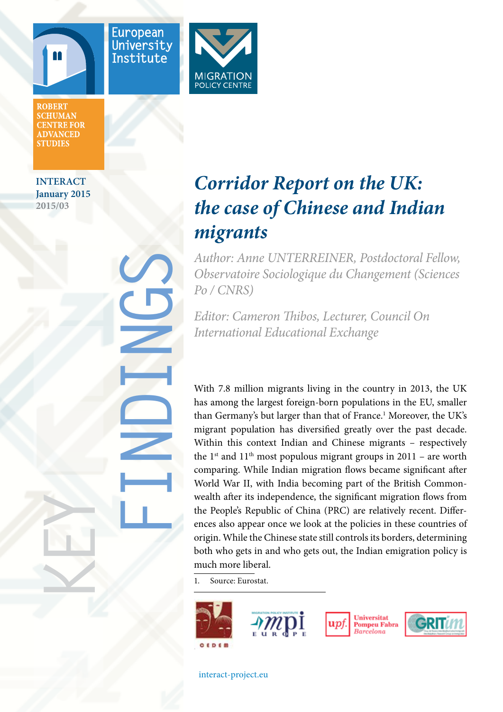



**FINDINGS**



**ROBERT SCHUMAN CENTRE FOR ADVANCED STUDIES** 

**INTERACT January 2015 2015/03**

**KEY**

# *Corridor Report on the UK: the case of Chinese and Indian migrants*

*Author: Anne UNTERREINER, Postdoctoral Fellow, Observatoire Sociologique du Changement (Sciences Po / CNRS)*

*Editor: Cameron Thibos, Lecturer, Council On International Educational Exchange*

With 7.8 million migrants living in the country in 2013, the UK has among the largest foreign-born populations in the EU, smaller than Germany's but larger than that of France.<sup>1</sup> Moreover, the UK's migrant population has diversified greatly over the past decade. Within this context Indian and Chinese migrants – respectively the 1<sup>st</sup> and 11<sup>th</sup> most populous migrant groups in 2011 – are worth comparing. While Indian migration flows became significant after World War II, with India becoming part of the British Commonwealth after its independence, the significant migration flows from the People's Republic of China (PRC) are relatively recent. Differences also appear once we look at the policies in these countries of origin. While the Chinese state still controls its borders, determining both who gets in and who gets out, the Indian emigration policy is much more liberal.

1. Source: Eurostat.







[interact-project.eu](http://interact-project.eu/)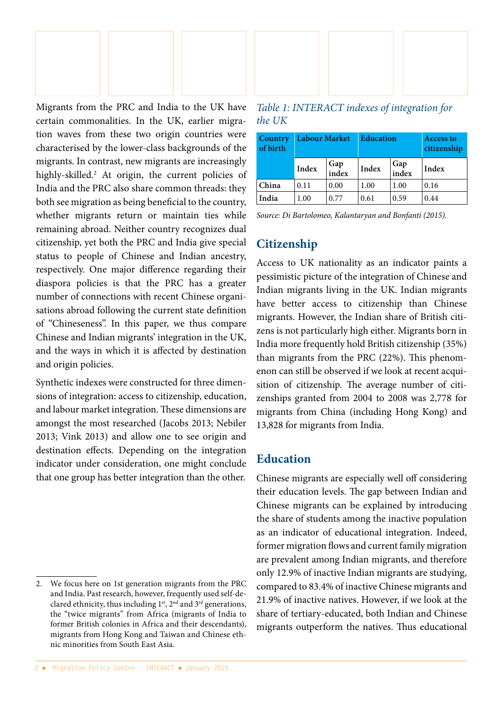

Migrants from the PRC and India to the UK have certain commonalities. In the UK, earlier migration waves from these two origin countries were characterised by the lower-class backgrounds of the migrants. In contrast, new migrants are increasingly highly-skilled.2 At origin, the current policies of India and the PRC also share common threads: they both see migration as being beneficial to the country, whether migrants return or maintain ties while remaining abroad. Neither country recognizes dual citizenship, yet both the PRC and India give special status to people of Chinese and Indian ancestry, respectively. One major difference regarding their diaspora policies is that the PRC has a greater number of connections with recent Chinese organisations abroad following the current state definition of "Chineseness". In this paper, we thus compare Chinese and Indian migrants' integration in the UK, and the ways in which it is affected by destination and origin policies.

Synthetic indexes were constructed for three dimensions of integration: access to citizenship, education, and labour market integration. These dimensions are amongst the most researched (Jacobs 2013; Nebiler 2013; Vink 2013) and allow one to see origin and destination effects. Depending on the integration indicator under consideration, one might conclude that one group has better integration than the other.



*Table 1: INTERACT indexes of integration for the UK*

| Country<br>of birth | <b>Labour Market</b> |              | <b>Education</b> |              | <b>Access to</b><br>citizenship |
|---------------------|----------------------|--------------|------------------|--------------|---------------------------------|
|                     | Index                | Gap<br>index | Index            | Gap<br>index | Index                           |
| China               | 0.11                 | 0.00         | 1.00             | 1.00         | 0.16                            |
| India               | 1.00                 | 0.77         | 0.61             | 0.59         | 0.44                            |

*Source: Di Bartolomeo, Kalantaryan and Bonfanti (2015).*

### **Citizenship**

Access to UK nationality as an indicator paints a pessimistic picture of the integration of Chinese and Indian migrants living in the UK. Indian migrants have better access to citizenship than Chinese migrants. However, the Indian share of British citizens is not particularly high either. Migrants born in India more frequently hold British citizenship (35%) than migrants from the PRC (22%). This phenomenon can still be observed if we look at recent acquisition of citizenship. The average number of citizenships granted from 2004 to 2008 was 2,778 for migrants from China (including Hong Kong) and 13,828 for migrants from India.

## **Education**

Chinese migrants are especially well off considering their education levels. The gap between Indian and Chinese migrants can be explained by introducing the share of students among the inactive population as an indicator of educational integration. Indeed, former migration flows and current family migration are prevalent among Indian migrants, and therefore only 12.9% of inactive Indian migrants are studying, compared to 83.4% of inactive Chinese migrants and 21.9% of inactive natives. However, if we look at the share of tertiary-educated, both Indian and Chinese migrants outperform the natives. Thus educational

<sup>2.</sup> We focus here on 1st generation migrants from the PRC and India. Past research, however, frequently used self-declared ethnicity, thus including 1<sup>st</sup>, 2<sup>nd</sup> and 3<sup>rd</sup> generations, the "twice migrants" from Africa (migrants of India to former British colonies in Africa and their descendants), migrants from Hong Kong and Taiwan and Chinese ethnic minorities from South East Asia.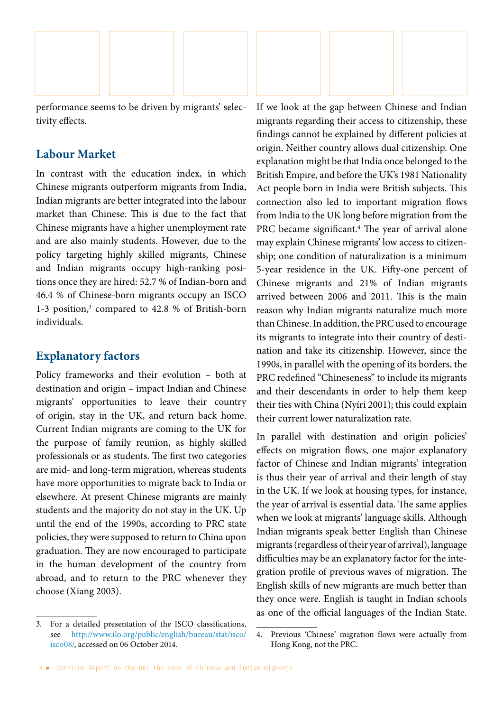

performance seems to be driven by migrants' selectivity effects.

### **Labour Market**

In contrast with the education index, in which Chinese migrants outperform migrants from India, Indian migrants are better integrated into the labour market than Chinese. This is due to the fact that Chinese migrants have a higher unemployment rate and are also mainly students. However, due to the policy targeting highly skilled migrants, Chinese and Indian migrants occupy high-ranking positions once they are hired: 52.7 % of Indian-born and 46.4 % of Chinese-born migrants occupy an ISCO 1-3 position,<sup>3</sup> compared to 42.8 % of British-born individuals.

#### **Explanatory factors**

Policy frameworks and their evolution – both at destination and origin – impact Indian and Chinese migrants' opportunities to leave their country of origin, stay in the UK, and return back home. Current Indian migrants are coming to the UK for the purpose of family reunion, as highly skilled professionals or as students. The first two categories are mid- and long-term migration, whereas students have more opportunities to migrate back to India or elsewhere. At present Chinese migrants are mainly students and the majority do not stay in the UK. Up until the end of the 1990s, according to PRC state policies, they were supposed to return to China upon graduation. They are now encouraged to participate in the human development of the country from abroad, and to return to the PRC whenever they choose (Xiang 2003).

If we look at the gap between Chinese and Indian migrants regarding their access to citizenship, these findings cannot be explained by different policies at origin. Neither country allows dual citizenship. One explanation might be that India once belonged to the British Empire, and before the UK's 1981 Nationality Act people born in India were British subjects. This connection also led to important migration flows from India to the UK long before migration from the PRC became significant.<sup>4</sup> The year of arrival alone may explain Chinese migrants' low access to citizenship; one condition of naturalization is a minimum 5-year residence in the UK. Fifty-one percent of Chinese migrants and 21% of Indian migrants arrived between 2006 and 2011. This is the main reason why Indian migrants naturalize much more than Chinese. In addition, the PRC used to encourage its migrants to integrate into their country of destination and take its citizenship. However, since the 1990s, in parallel with the opening of its borders, the PRC redefined "Chineseness" to include its migrants and their descendants in order to help them keep their ties with China (Nyíri 2001); this could explain their current lower naturalization rate.

In parallel with destination and origin policies' effects on migration flows, one major explanatory factor of Chinese and Indian migrants' integration is thus their year of arrival and their length of stay in the UK. If we look at housing types, for instance, the year of arrival is essential data. The same applies when we look at migrants' language skills. Although Indian migrants speak better English than Chinese migrants (regardless of their year of arrival), language difficulties may be an explanatory factor for the integration profile of previous waves of migration. The English skills of new migrants are much better than they once were. English is taught in Indian schools as one of the official languages of the Indian State.

<sup>3.</sup> For a detailed presentation of the ISCO classifications, see [http://www.ilo.org/public/english/bureau/stat/isco/](http://www.ilo.org/public/english/bureau/stat/isco/isco08/) [isco08/,](http://www.ilo.org/public/english/bureau/stat/isco/isco08/) accessed on 06 October 2014.

<sup>4.</sup> Previous 'Chinese' migration flows were actually from Hong Kong, not the PRC.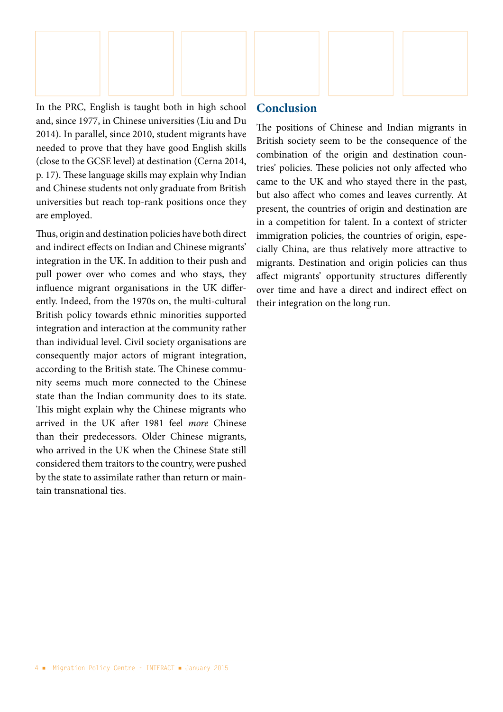

In the PRC, English is taught both in high school and, since 1977, in Chinese universities (Liu and Du 2014). In parallel, since 2010, student migrants have needed to prove that they have good English skills (close to the GCSE level) at destination (Cerna 2014, p. 17). These language skills may explain why Indian and Chinese students not only graduate from British universities but reach top-rank positions once they are employed.

Thus, origin and destination policies have both direct and indirect effects on Indian and Chinese migrants' integration in the UK. In addition to their push and pull power over who comes and who stays, they influence migrant organisations in the UK differently. Indeed, from the 1970s on, the multi-cultural British policy towards ethnic minorities supported integration and interaction at the community rather than individual level. Civil society organisations are consequently major actors of migrant integration, according to the British state. The Chinese community seems much more connected to the Chinese state than the Indian community does to its state. This might explain why the Chinese migrants who arrived in the UK after 1981 feel *more* Chinese than their predecessors. Older Chinese migrants, who arrived in the UK when the Chinese State still considered them traitors to the country, were pushed by the state to assimilate rather than return or maintain transnational ties.

### **Conclusion**

The positions of Chinese and Indian migrants in British society seem to be the consequence of the combination of the origin and destination countries' policies. These policies not only affected who came to the UK and who stayed there in the past, but also affect who comes and leaves currently. At present, the countries of origin and destination are in a competition for talent. In a context of stricter immigration policies, the countries of origin, especially China, are thus relatively more attractive to migrants. Destination and origin policies can thus affect migrants' opportunity structures differently over time and have a direct and indirect effect on their integration on the long run.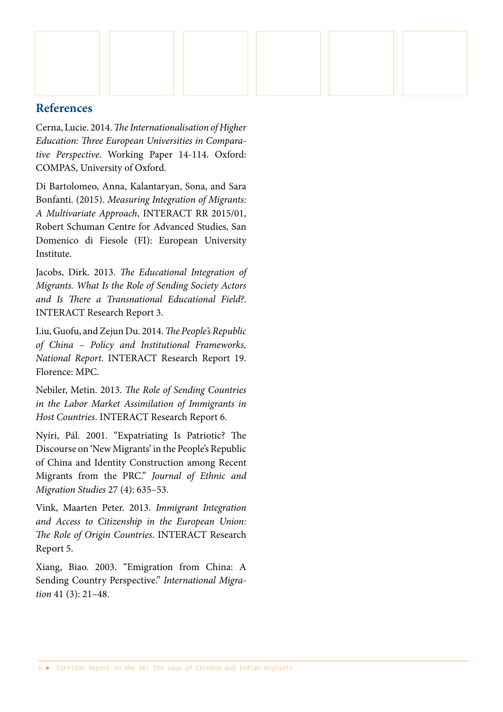

#### **References**

Cerna, Lucie. 2014. *The Internationalisation of Higher Education: Three European Universities in Comparative Perspective*. Working Paper 14-114. Oxford: COMPAS, University of Oxford.

Di Bartolomeo, Anna, Kalantaryan, Sona, and Sara Bonfanti. (2015). *Measuring Integration of Migrants: A Multivariate Approach*, INTERACT RR 2015/01, Robert Schuman Centre for Advanced Studies, San Domenico di Fiesole (FI): European University Institute.

Jacobs, Dirk. 2013. *The Educational Integration of Migrants. What Is the Role of Sending Society Actors and Is There a Transnational Educational Field?*. INTERACT Research Report 3.

Liu, Guofu, and Zejun Du. 2014. *The People's Republic of China* – *Policy and Institutional Frameworks, National Report*. INTERACT Research Report 19. Florence: MPC.

Nebiler, Metin. 2013. *The Role of Sending Countries in the Labor Market Assimilation of Immigrants in Host Countries*. INTERACT Research Report 6.

Nyíri, Pál. 2001. "Expatriating Is Patriotic? The Discourse on 'New Migrants' in the People's Republic of China and Identity Construction among Recent Migrants from the PRC." *Journal of Ethnic and Migration Studies* 27 (4): 635–53.

Vink, Maarten Peter. 2013. *Immigrant Integration and Access to Citizenship in the European Union: The Role of Origin Countries*. INTERACT Research Report 5.

Xiang, Biao. 2003. "Emigration from China: A Sending Country Perspective." *International Migration* 41 (3): 21–48.